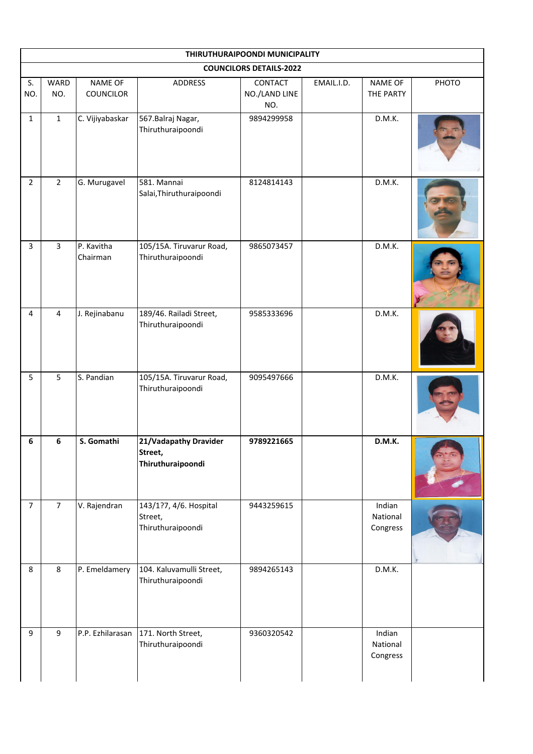| THIRUTHURAIPOONDI MUNICIPALITY |                |                                    |                                                        |                                 |            |                                |       |  |  |
|--------------------------------|----------------|------------------------------------|--------------------------------------------------------|---------------------------------|------------|--------------------------------|-------|--|--|
| <b>COUNCILORS DETAILS-2022</b> |                |                                    |                                                        |                                 |            |                                |       |  |  |
| S.<br>NO.                      | WARD<br>NO.    | <b>NAME OF</b><br><b>COUNCILOR</b> | <b>ADDRESS</b>                                         | CONTACT<br>NO./LAND LINE<br>NO. | EMAIL.I.D. | NAME OF<br>THE PARTY           | PHOTO |  |  |
| $\mathbf{1}$                   | $\mathbf{1}$   | C. Vijiyabaskar                    | 567. Balraj Nagar,<br>Thiruthuraipoondi                | 9894299958                      |            | D.M.K.                         |       |  |  |
| $\overline{2}$                 | $\overline{2}$ | G. Murugavel                       | 581. Mannai<br>Salai, Thiruthuraipoondi                | 8124814143                      |            | D.M.K.                         |       |  |  |
| $\overline{3}$                 | $\overline{3}$ | P. Kavitha<br>Chairman             | 105/15A. Tiruvarur Road,<br>Thiruthuraipoondi          | 9865073457                      |            | D.M.K.                         |       |  |  |
| $\overline{4}$                 | $\overline{4}$ | J. Rejinabanu                      | 189/46. Railadi Street,<br>Thiruthuraipoondi           | 9585333696                      |            | D.M.K.                         |       |  |  |
| 5                              | 5              | S. Pandian                         | 105/15A. Tiruvarur Road,<br>Thiruthuraipoondi          | 9095497666                      |            | D.M.K.                         |       |  |  |
| 6                              | 6              | S. Gomathi                         | 21/Vadapathy Dravider<br>Street,<br>Thiruthuraipoondi  | 9789221665                      |            | D.M.K.                         |       |  |  |
| $\overline{7}$                 | $\overline{7}$ | V. Rajendran                       | 143/1?7, 4/6. Hospital<br>Street,<br>Thiruthuraipoondi | 9443259615                      |            | Indian<br>National<br>Congress |       |  |  |
| 8                              | 8              | P. Emeldamery                      | 104. Kaluvamulli Street,<br>Thiruthuraipoondi          | 9894265143                      |            | D.M.K.                         |       |  |  |
| 9                              | 9              | P.P. Ezhilarasan                   | 171. North Street,<br>Thiruthuraipoondi                | 9360320542                      |            | Indian<br>National<br>Congress |       |  |  |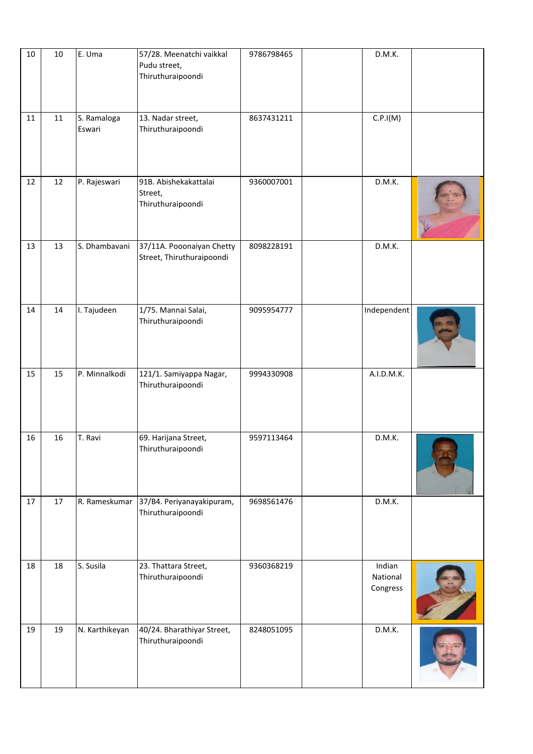| $10\,$ | $10\,$ | E. Uma                | 57/28. Meenatchi vaikkal<br>Pudu street,<br>Thiruthuraipoondi | 9786798465 | D.M.K.                         |  |
|--------|--------|-----------------------|---------------------------------------------------------------|------------|--------------------------------|--|
| 11     | 11     | S. Ramaloga<br>Eswari | 13. Nadar street,<br>Thiruthuraipoondi                        | 8637431211 | C.P.I(M)                       |  |
| 12     | 12     | P. Rajeswari          | 91B. Abishekakattalai<br>Street,<br>Thiruthuraipoondi         | 9360007001 | D.M.K.                         |  |
| 13     | 13     | S. Dhambavani         | 37/11A. Pooonaiyan Chetty<br>Street, Thiruthuraipoondi        | 8098228191 | D.M.K.                         |  |
| 14     | 14     | I. Tajudeen           | 1/75. Mannai Salai,<br>Thiruthuraipoondi                      | 9095954777 | Independent                    |  |
| 15     | 15     | P. Minnalkodi         | 121/1. Samiyappa Nagar,<br>Thiruthuraipoondi                  | 9994330908 | A.I.D.M.K.                     |  |
| 16     | 16     | T. Ravi               | 69. Harijana Street,<br>Thiruthuraipoondi                     | 9597113464 | D.M.K.                         |  |
| 17     | 17     | R. Rameskumar         | 37/B4. Periyanayakipuram,<br>Thiruthuraipoondi                | 9698561476 | D.M.K.                         |  |
| 18     | 18     | S. Susila             | 23. Thattara Street,<br>Thiruthuraipoondi                     | 9360368219 | Indian<br>National<br>Congress |  |
| 19     | 19     | N. Karthikeyan        | 40/24. Bharathiyar Street,<br>Thiruthuraipoondi               | 8248051095 | D.M.K.                         |  |